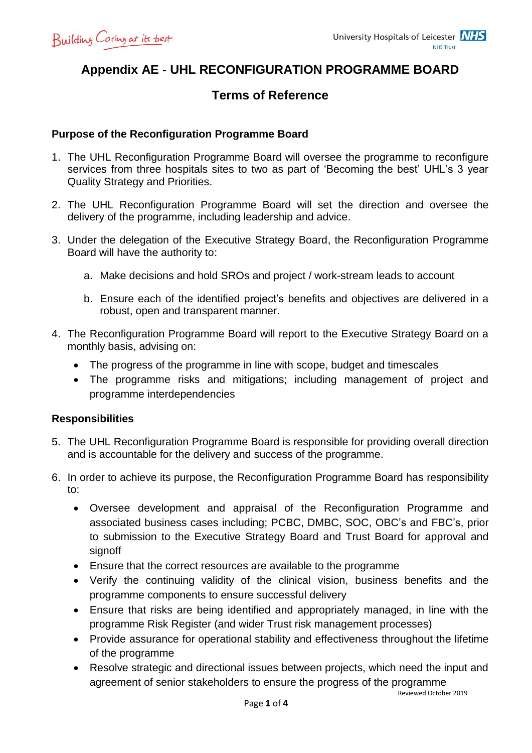# **Appendix AE - UHL RECONFIGURATION PROGRAMME BOARD**

# **Terms of Reference**

# **Purpose of the Reconfiguration Programme Board**

- 1. The UHL Reconfiguration Programme Board will oversee the programme to reconfigure services from three hospitals sites to two as part of 'Becoming the best' UHL's 3 year Quality Strategy and Priorities.
- 2. The UHL Reconfiguration Programme Board will set the direction and oversee the delivery of the programme, including leadership and advice.
- 3. Under the delegation of the Executive Strategy Board, the Reconfiguration Programme Board will have the authority to:
	- a. Make decisions and hold SROs and project / work-stream leads to account
	- b. Ensure each of the identified project's benefits and objectives are delivered in a robust, open and transparent manner.
- 4. The Reconfiguration Programme Board will report to the Executive Strategy Board on a monthly basis, advising on:
	- The progress of the programme in line with scope, budget and timescales
	- The programme risks and mitigations; including management of project and programme interdependencies

# **Responsibilities**

- 5. The UHL Reconfiguration Programme Board is responsible for providing overall direction and is accountable for the delivery and success of the programme.
- 6. In order to achieve its purpose, the Reconfiguration Programme Board has responsibility to:
	- Oversee development and appraisal of the Reconfiguration Programme and associated business cases including; PCBC, DMBC, SOC, OBC's and FBC's, prior to submission to the Executive Strategy Board and Trust Board for approval and signoff
	- Ensure that the correct resources are available to the programme
	- Verify the continuing validity of the clinical vision, business benefits and the programme components to ensure successful delivery
	- Ensure that risks are being identified and appropriately managed, in line with the programme Risk Register (and wider Trust risk management processes)
	- Provide assurance for operational stability and effectiveness throughout the lifetime of the programme
	- Resolve strategic and directional issues between projects, which need the input and agreement of senior stakeholders to ensure the progress of the programme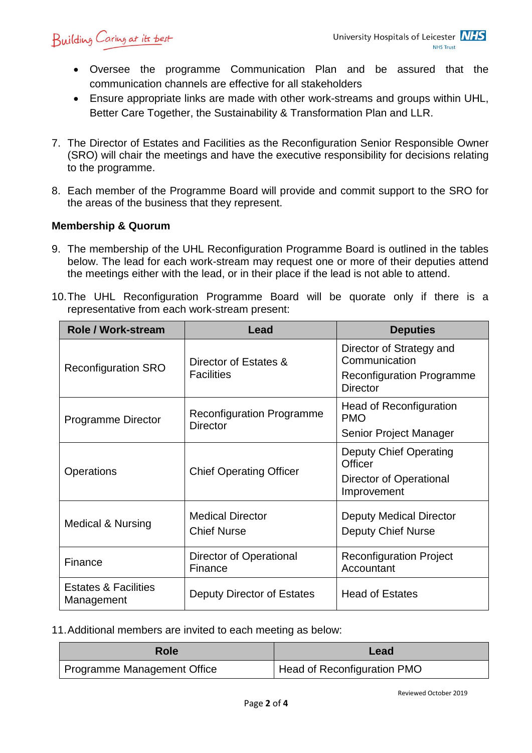

- Oversee the programme Communication Plan and be assured that the communication channels are effective for all stakeholders
- Ensure appropriate links are made with other work-streams and groups within UHL, Better Care Together, the Sustainability & Transformation Plan and LLR.
- 7. The Director of Estates and Facilities as the Reconfiguration Senior Responsible Owner (SRO) will chair the meetings and have the executive responsibility for decisions relating to the programme.
- 8. Each member of the Programme Board will provide and commit support to the SRO for the areas of the business that they represent.

# **Membership & Quorum**

- 9. The membership of the UHL Reconfiguration Programme Board is outlined in the tables below. The lead for each work-stream may request one or more of their deputies attend the meetings either with the lead, or in their place if the lead is not able to attend.
- 10.The UHL Reconfiguration Programme Board will be quorate only if there is a representative from each work-stream present:

| Role / Work-stream                            | Lead                                                | <b>Deputies</b>                                     |  |
|-----------------------------------------------|-----------------------------------------------------|-----------------------------------------------------|--|
| <b>Reconfiguration SRO</b>                    | Director of Estates &<br><b>Facilities</b>          | Director of Strategy and<br>Communication           |  |
|                                               |                                                     | <b>Reconfiguration Programme</b><br><b>Director</b> |  |
| Programme Director                            | <b>Reconfiguration Programme</b><br><b>Director</b> | <b>Head of Reconfiguration</b><br><b>PMO</b>        |  |
|                                               |                                                     | Senior Project Manager                              |  |
| <b>Operations</b>                             | <b>Chief Operating Officer</b>                      | <b>Deputy Chief Operating</b><br>Officer            |  |
|                                               |                                                     | Director of Operational<br>Improvement              |  |
| <b>Medical &amp; Nursing</b>                  | <b>Medical Director</b>                             | <b>Deputy Medical Director</b>                      |  |
|                                               | <b>Chief Nurse</b>                                  | <b>Deputy Chief Nurse</b>                           |  |
| Finance                                       | <b>Director of Operational</b><br>Finance           | <b>Reconfiguration Project</b><br>Accountant        |  |
| <b>Estates &amp; Facilities</b><br>Management | Deputy Director of Estates                          | <b>Head of Estates</b>                              |  |

11.Additional members are invited to each meeting as below:

| <b>Role</b>                 | Lead                               |  |
|-----------------------------|------------------------------------|--|
| Programme Management Office | <b>Head of Reconfiguration PMO</b> |  |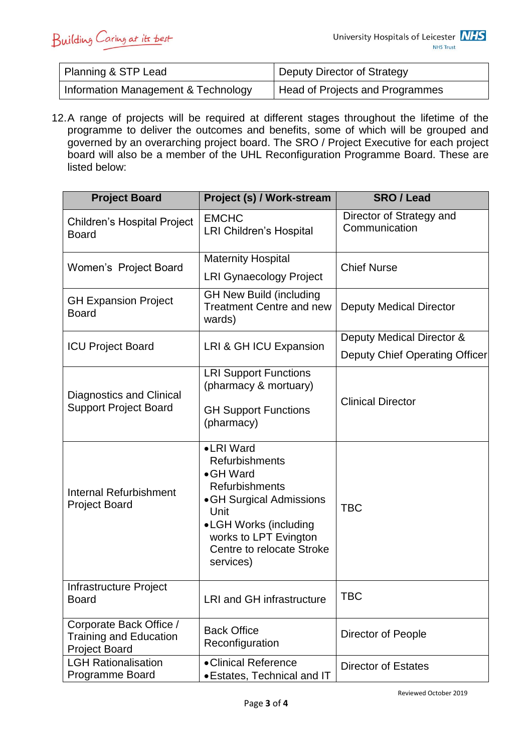| Planning & STP Lead                 | Deputy Director of Strategy     |
|-------------------------------------|---------------------------------|
| Information Management & Technology | Head of Projects and Programmes |

12.A range of projects will be required at different stages throughout the lifetime of the programme to deliver the outcomes and benefits, some of which will be grouped and governed by an overarching project board. The SRO / Project Executive for each project board will also be a member of the UHL Reconfiguration Programme Board. These are listed below:

| <b>Project Board</b>                                                             | Project (s) / Work-stream                                                                                                                                                                         | <b>SRO / Lead</b>                         |  |
|----------------------------------------------------------------------------------|---------------------------------------------------------------------------------------------------------------------------------------------------------------------------------------------------|-------------------------------------------|--|
| Children's Hospital Project<br><b>Board</b>                                      | <b>EMCHC</b><br><b>LRI Children's Hospital</b>                                                                                                                                                    | Director of Strategy and<br>Communication |  |
| Women's Project Board                                                            | <b>Maternity Hospital</b>                                                                                                                                                                         | <b>Chief Nurse</b>                        |  |
|                                                                                  | <b>LRI Gynaecology Project</b>                                                                                                                                                                    |                                           |  |
| <b>GH Expansion Project</b><br><b>Board</b>                                      | <b>GH New Build (including</b><br><b>Treatment Centre and new</b><br>wards)                                                                                                                       | <b>Deputy Medical Director</b>            |  |
| <b>ICU Project Board</b>                                                         | LRI & GH ICU Expansion                                                                                                                                                                            | Deputy Medical Director &                 |  |
|                                                                                  |                                                                                                                                                                                                   | Deputy Chief Operating Officer            |  |
| <b>Diagnostics and Clinical</b><br><b>Support Project Board</b>                  | <b>LRI Support Functions</b><br>(pharmacy & mortuary)<br><b>GH Support Functions</b><br>(pharmacy)                                                                                                | <b>Clinical Director</b>                  |  |
| <b>Internal Refurbishment</b><br><b>Project Board</b>                            | •LRI Ward<br>Refurbishments<br>•GH Ward<br><b>Refurbishments</b><br>• GH Surgical Admissions<br>Unit<br>• LGH Works (including<br>works to LPT Evington<br>Centre to relocate Stroke<br>services) | <b>TBC</b>                                |  |
| Infrastructure Project<br><b>Board</b>                                           | <b>LRI and GH infrastructure</b>                                                                                                                                                                  | <b>TBC</b>                                |  |
| Corporate Back Office /<br><b>Training and Education</b><br><b>Project Board</b> | <b>Back Office</b><br>Reconfiguration                                                                                                                                                             | <b>Director of People</b>                 |  |
| <b>LGH Rationalisation</b><br>Programme Board                                    | • Clinical Reference<br>• Estates, Technical and IT                                                                                                                                               | <b>Director of Estates</b>                |  |